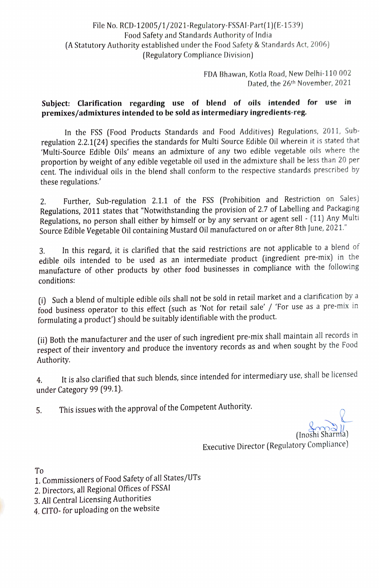## File No. RCD-12005/1/2021-Regulatory-FSSAI-Part(1)(E-1539) Food Safety and Standards Authority of India (A Statutory Authority established under the Food Safety & Standards Act, 2006) (Regulatory Compliance Division)

FDA Bhawan, Kotla Road, New Delhi-110 002 Dated, the 26th November, 2021

## Subject: Clarification regarding use of blend of oils intended for use in premixes/admixtures intended to be sold as intermediary ingredients-reg.

In the FSS (Food Products Standards and Food Additives) Regulations, 2011, Subregulation 2.2.1(24) specifies the standards for Multi Source Edible Oil wherein it is stated that Multi-Source Edible Oils' means an admixture of any two edible vegetable oils where the proportion by weight of any edible vegetable oil used in the admixture shall be less than 20 per cent. The individual oils in the blend shall conform to the respective standards prescribed by these regulations.

Further, Sub-regulation 2.1.1 of the FSS (Prohibition and Restriction on Sales) Regulations, 2011 states that "Notwithstanding the provision of 2.7 of Labelling and Packaging Regulations, no person shall either by himself or by any servant or agent sell - (11) Any Multi Source Edible Vegetable Oil containing Mustard Oil manufactured on or after 8th June, 2021." 2.

3. In this regard, it is clarified that the said restrictions are not applicable to a blend of edible oils intended to be used as an intermediate product (ingredient pre-mix) in the manufacture of other products by other food businesses in compliance with the following conditions:

(i) Such a blend of multiple edible oils shall not be sold in retail market and a clarification by a food business operator to this effect (such as 'Not for retail sale' / "For use as a pre-mix in formulating a product') should be suitably identifiable with the product.

(ii) Both the manufacturer and the user of such ingredient pre-mix shall maintain all records in respect of their inventory and produce the inventory records as and when sought by the Food Authority.

. It is also clarified that such blends, since intended for intermediary use, shall be licensed under Category 99 (99.1).

5. This issues with the approval of the Competent Authority.

(Inoshi

Executive Director (Regulatory Compliance)

To

- 1. Commissioners of Food Safety of all States/UTs
- 2. Directors, all Regional Offices of FSSAI
- 3. All Central Licensing Authorities
- 4. CITO- for uploading on the website